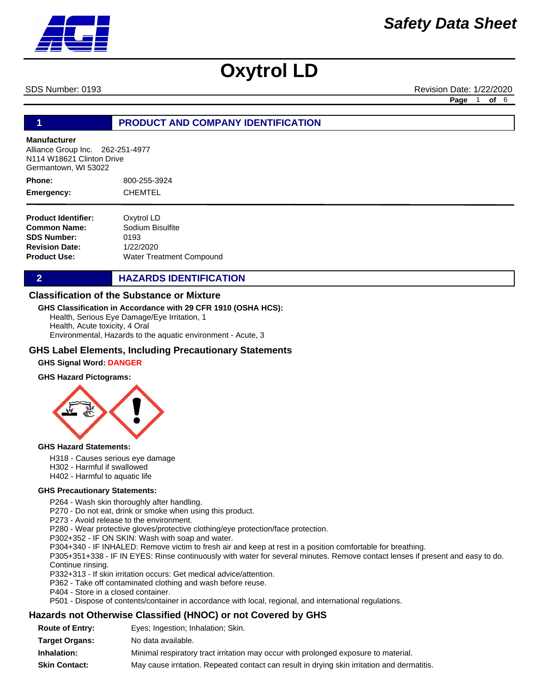

SDS Number: 0193 Revision Date: 1/22/2020

**Page** 1 **of** 6

## **1 PRODUCT AND COMPANY IDENTIFICATION**

#### **Manufacturer**

Alliance Group Inc. 262-251-4977 N114 W18621 Clinton Drive Germantown, WI 53022

800-255-3924 CHEMTEL **Phone: Emergency:**

**Product Identifier: Common Name: SDS Number: Revision Date: Product Use:** Oxytrol LD Sodium Bisulfite 0193 1/22/2020 Water Treatment Compound

**2 HAZARDS IDENTIFICATION** 

### **Classification of the Substance or Mixture**

#### **GHS Classification in Accordance with 29 CFR 1910 (OSHA HCS):**

Health, Serious Eye Damage/Eye Irritation, 1 Health, Acute toxicity, 4 Oral

Environmental, Hazards to the aquatic environment - Acute, 3

### **GHS Label Elements, Including Precautionary Statements**

#### **GHS Signal Word: DANGER**

#### **GHS Hazard Pictograms:**



#### **GHS Hazard Statements:**

H318 - Causes serious eye damage

- H302 Harmful if swallowed
- H402 Harmful to aquatic life

#### **GHS Precautionary Statements:**

P264 - Wash skin thoroughly after handling.

P270 - Do not eat, drink or smoke when using this product.

P273 - Avoid release to the environment.

P280 - Wear protective gloves/protective clothing/eye protection/face protection.

P302+352 - IF ON SKIN: Wash with soap and water.

P304+340 - IF INHALED: Remove victim to fresh air and keep at rest in a position comfortable for breathing.

P305+351+338 - IF IN EYES: Rinse continuously with water for several minutes. Remove contact lenses if present and easy to do. Continue rinsing.

P332+313 - If skin irritation occurs: Get medical advice/attention.

P362 - Take off contaminated clothing and wash before reuse.

P404 - Store in a closed container.

P501 - Dispose of contents/container in accordance with local, regional, and international regulations.

### **Hazards not Otherwise Classified (HNOC) or not Covered by GHS**

| <b>Route of Entry:</b> | Eyes; Ingestion; Inhalation; Skin.                                                          |
|------------------------|---------------------------------------------------------------------------------------------|
| <b>Target Organs:</b>  | No data available.                                                                          |
| Inhalation:            | Minimal respiratory tract irritation may occur with prolonged exposure to material.         |
| <b>Skin Contact:</b>   | May cause irritation. Repeated contact can result in drying skin irritation and dermatitis. |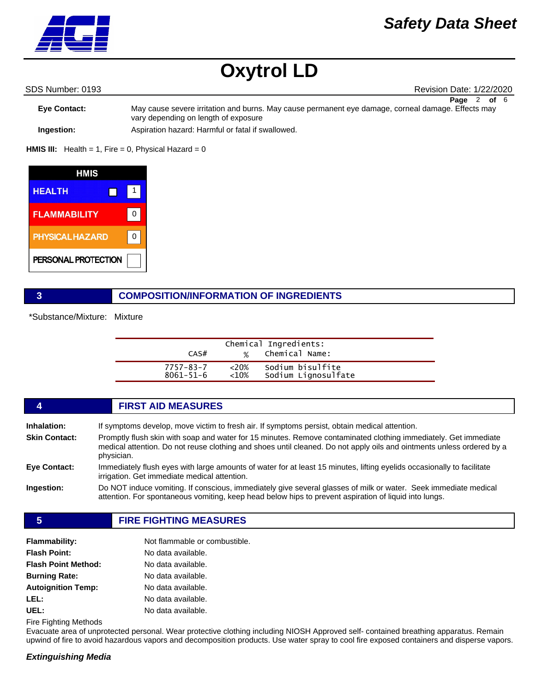# *Safety Data Sheet*

# **Oxytrol LD**

SDS Number: 0193 Revision Date: 1/22/2020

**Eye Contact:** May cause severe irritation and burns. May cause permanent eye damage, corneal damage. Effects may vary depending on length of exposure **Page** 2 **of** 6

**Ingestion:** Aspiration hazard: Harmful or fatal if swallowed.

**HMIS III:** Health = 1, Fire = 0, Physical Hazard = 0



### **3 COMPOSITION/INFORMATION OF INGREDIENTS**

\*Substance/Mixture: Mixture

| CAS#            | $\frac{9}{6}$ | Chemical Ingredients:<br>Chemical Name: |  |
|-----------------|---------------|-----------------------------------------|--|
| 7757-83-7       | $<20\%$       | Sodium bisulfite                        |  |
| $8061 - 51 - 6$ | $<10\%$       | Sodium Lignosulfate                     |  |

|                      | <b>FIRST AID MEASURES</b>                                                                                                                                                                                                                              |
|----------------------|--------------------------------------------------------------------------------------------------------------------------------------------------------------------------------------------------------------------------------------------------------|
| <b>Inhalation:</b>   | If symptoms develop, move victim to fresh air. If symptoms persist, obtain medical attention.                                                                                                                                                          |
| <b>Skin Contact:</b> | Promptly flush skin with soap and water for 15 minutes. Remove contaminated clothing immediately. Get immediate<br>medical attention. Do not reuse clothing and shoes until cleaned. Do not apply oils and ointments unless ordered by a<br>physician. |
| Eye Contact:         | Immediately flush eyes with large amounts of water for at least 15 minutes, lifting eyelids occasionally to facilitate<br>irrigation. Get immediate medical attention.                                                                                 |
| Ingestion:           | Do NOT induce vomiting. If conscious, immediately give several glasses of milk or water. Seek immediate medical<br>attention. For spontaneous vomiting, keep head below hips to prevent aspiration of liquid into lungs.                               |
|                      |                                                                                                                                                                                                                                                        |

### **5 FIRE FIGHTING MEASURES**

| <b>Flammability:</b>       | Not flammable or combustible. |
|----------------------------|-------------------------------|
| <b>Flash Point:</b>        | No data available.            |
| <b>Flash Point Method:</b> | No data available.            |
| <b>Burning Rate:</b>       | No data available.            |
| <b>Autoignition Temp:</b>  | No data available.            |
| LEL:                       | No data available.            |
| UEL:                       | No data available.            |

Fire Fighting Methods

Evacuate area of unprotected personal. Wear protective clothing including NIOSH Approved self- contained breathing apparatus. Remain upwind of fire to avoid hazardous vapors and decomposition products. Use water spray to cool fire exposed containers and disperse vapors.

### *Extinguishing Media*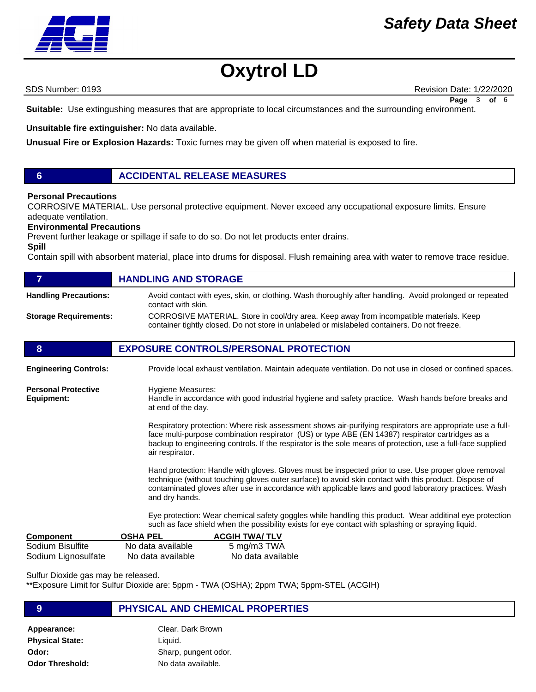# *Safety Data Sheet*



SDS Number: 0193 Revision Date: 1/22/2020 **Page** 3 **of** 6

**Suitable:** Use extingushing measures that are appropriate to local circumstances and the surrounding environment.

**Unsuitable fire extinguisher:** No data available.

**Unusual Fire or Explosion Hazards:** Toxic fumes may be given off when material is exposed to fire.

## **6 ACCIDENTAL RELEASE MEASURES**

#### **Personal Precautions**

CORROSIVE MATERIAL. Use personal protective equipment. Never exceed any occupational exposure limits. Ensure adequate ventilation.

#### **Environmental Precautions**

Prevent further leakage or spillage if safe to do so. Do not let products enter drains.

**Spill** 

**Equipment:**

Contain spill with absorbent material, place into drums for disposal. Flush remaining area with water to remove trace residue.

|                              | <b>HANDLING AND STORAGE</b>                                                                                                                                                             |
|------------------------------|-----------------------------------------------------------------------------------------------------------------------------------------------------------------------------------------|
| <b>Handling Precautions:</b> | Avoid contact with eyes, skin, or clothing. Wash thoroughly after handling. Avoid prolonged or repeated<br>contact with skin.                                                           |
| <b>Storage Requirements:</b> | CORROSIVE MATERIAL. Store in cool/dry area. Keep away from incompatible materials. Keep<br>container tightly closed. Do not store in unlabeled or mislabeled containers. Do not freeze. |
| 8                            | <b>EXPOSURE CONTROLS/PERSONAL PROTECTION</b>                                                                                                                                            |
| <b>Engineering Controls:</b> | Provide local exhaust ventilation. Maintain adequate ventilation. Do not use in closed or confined spaces.                                                                              |
| <b>Personal Protective</b>   | Hygiene Measures:                                                                                                                                                                       |

Hygiene Measures: Handle in accordance with good industrial hygiene and safety practice. Wash hands before breaks and at end of the day.

> Respiratory protection: Where risk assessment shows air-purifying respirators are appropriate use a fullface multi-purpose combination respirator (US) or type ABE (EN 14387) respirator cartridges as a backup to engineering controls. If the respirator is the sole means of protection, use a full-face supplied air respirator.

> Hand protection: Handle with gloves. Gloves must be inspected prior to use. Use proper glove removal technique (without touching gloves outer surface) to avoid skin contact with this product. Dispose of contaminated gloves after use in accordance with applicable laws and good laboratory practices. Wash and dry hands.

Eye protection: Wear chemical safety goggles while handling this product. Wear additinal eye protection such as face shield when the possibility exists for eye contact with splashing or spraying liquid.

| Component           | <b>OSHA PEL</b>   | <b>ACGIH TWA/ TLV</b> |
|---------------------|-------------------|-----------------------|
| Sodium Bisulfite    | No data available | 5 mg/m3 TWA           |
| Sodium Lignosulfate | No data available | No data available     |

Sulfur Dioxide gas may be released.

\*\*Exposure Limit for Sulfur Dioxide are: 5ppm - TWA (OSHA); 2ppm TWA; 5ppm-STEL (ACGIH)

| Clear, Dark Brown    |
|----------------------|
| Liquid.              |
| Sharp, pungent odor. |
| No data available.   |
|                      |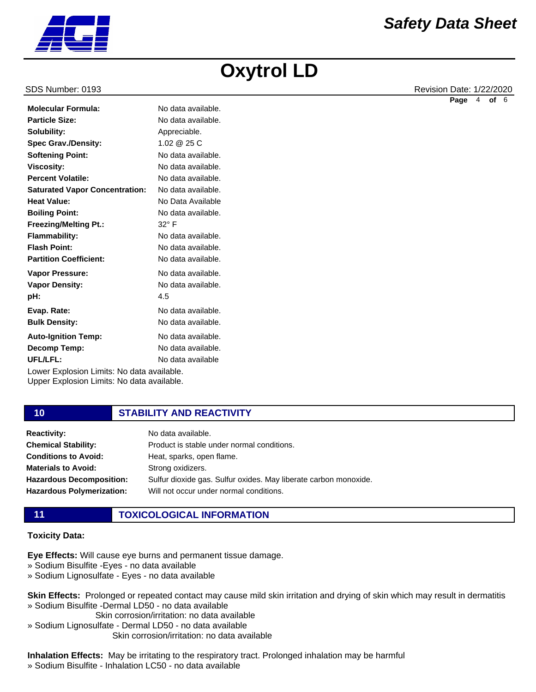

SDS Number: 0193 Revision Date: 1/22/2020 **Page** 4 **of** 6

| No data available.                         |
|--------------------------------------------|
| No data available.                         |
| Appreciable.                               |
| 1.02 @ 25 C                                |
| No data available.                         |
| No data available.                         |
| No data available.                         |
| No data available.                         |
| No Data Available                          |
| No data available.                         |
| $32^\circ$ F                               |
| No data available.                         |
| No data available.                         |
| No data available.                         |
| No data available.                         |
| No data available.                         |
| 4.5                                        |
| No data available.                         |
| No data available.                         |
| No data available.                         |
| No data available.                         |
| No data available                          |
| Lower Explosion Limits: No data available. |
|                                            |

Upper Explosion Limits: No data available.

## **10 STABILITY AND REACTIVITY**

| <b>Reactivity:</b>               | No data available.                                               |
|----------------------------------|------------------------------------------------------------------|
| <b>Chemical Stability:</b>       | Product is stable under normal conditions.                       |
| <b>Conditions to Avoid:</b>      | Heat, sparks, open flame.                                        |
| <b>Materials to Avoid:</b>       | Strong oxidizers.                                                |
| <b>Hazardous Decomposition:</b>  | Sulfur dioxide gas. Sulfur oxides. May liberate carbon monoxide. |
| <b>Hazardous Polymerization:</b> | Will not occur under normal conditions.                          |
|                                  |                                                                  |

# **11 TOXICOLOGICAL INFORMATION**

## **Toxicity Data:**

**Eye Effects:** Will cause eye burns and permanent tissue damage.

- » Sodium Bisulfite -Eyes no data available
- » Sodium Lignosulfate Eyes no data available

**Skin Effects:** Prolonged or repeated contact may cause mild skin irritation and drying of skin which may result in dermatitis » Sodium Bisulfite -Dermal LD50 - no data available

- Skin corrosion/irritation: no data available
- » Sodium Lignosulfate Dermal LD50 no data available Skin corrosion/irritation: no data available

# **Inhalation Effects:** May be irritating to the respiratory tract. Prolonged inhalation may be harmful

» Sodium Bisulfite - Inhalation LC50 - no data available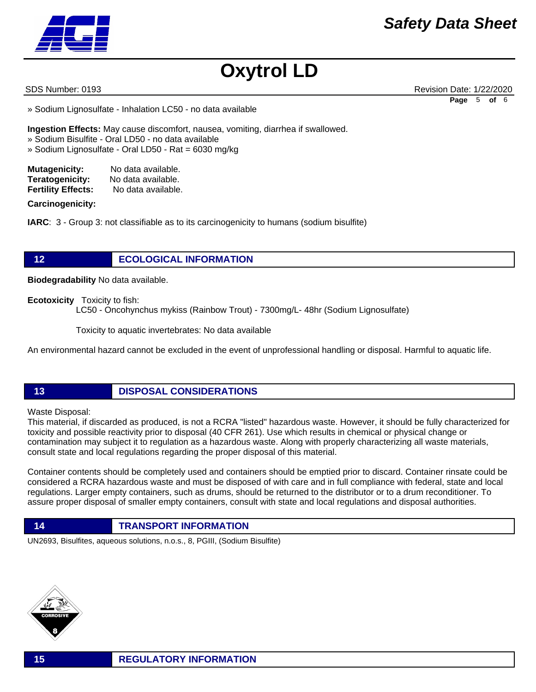

SDS Number: 0193 Revision Date: 1/22/2020 **Page** 5 **of** 6

» Sodium Lignosulfate - Inhalation LC50 - no data available

**Ingestion Effects:** May cause discomfort, nausea, vomiting, diarrhea if swallowed. » Sodium Bisulfite - Oral LD50 - no data available

» Sodium Lignosulfate - Oral LD50 - Rat = 6030 mg/kg

| <b>Mutagenicity:</b>      | No data available. |
|---------------------------|--------------------|
| Teratogenicity:           | No data available. |
| <b>Fertility Effects:</b> | No data available. |

### **Carcinogenicity:**

**IARC**: 3 - Group 3: not classifiable as to its carcinogenicity to humans (sodium bisulfite)

# **12 ECOLOGICAL INFORMATION**

**Biodegradability** No data available.

**Ecotoxicity** Toxicity to fish:

LC50 - Oncohynchus mykiss (Rainbow Trout) - 7300mg/L- 48hr (Sodium Lignosulfate)

Toxicity to aquatic invertebrates: No data available

An environmental hazard cannot be excluded in the event of unprofessional handling or disposal. Harmful to aquatic life.

**13 DISPOSAL CONSIDERATIONS**

### Waste Disposal:

This material, if discarded as produced, is not a RCRA "listed" hazardous waste. However, it should be fully characterized for toxicity and possible reactivity prior to disposal (40 CFR 261). Use which results in chemical or physical change or contamination may subject it to regulation as a hazardous waste. Along with properly characterizing all waste materials, consult state and local regulations regarding the proper disposal of this material.

Container contents should be completely used and containers should be emptied prior to discard. Container rinsate could be considered a RCRA hazardous waste and must be disposed of with care and in full compliance with federal, state and local regulations. Larger empty containers, such as drums, should be returned to the distributor or to a drum reconditioner. To assure proper disposal of smaller empty containers, consult with state and local regulations and disposal authorities.

**14 TRANSPORT INFORMATION**

UN2693, Bisulfites, aqueous solutions, n.o.s., 8, PGIII, (Sodium Bisulfite)